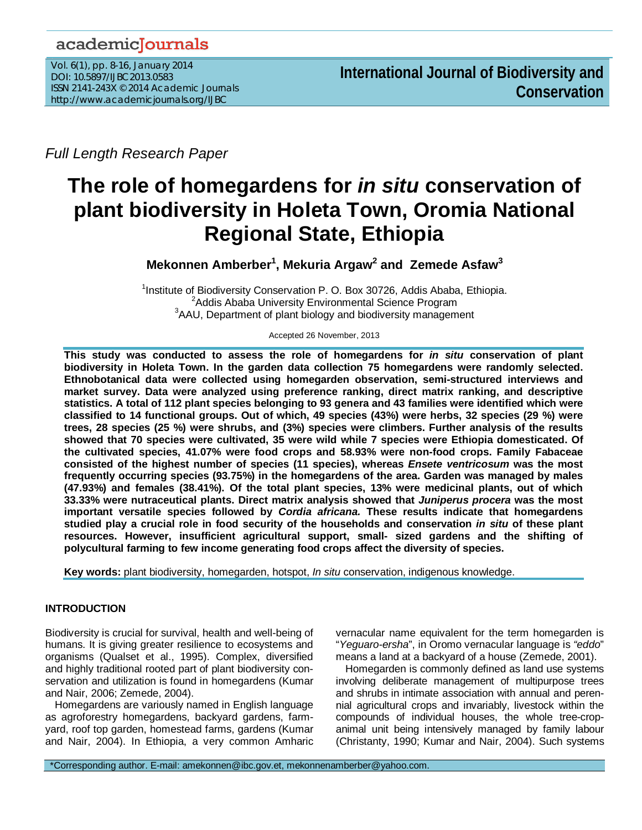## academicJournals

Vol. 6(1), pp. 8-16, January 2014 DOI: 10.5897/IJBC2013.0583 ISSN 2141-243X © 2014 Academic Journals http://www.academicjournals.org/IJBC

*Full Length Research Paper*

# **The role of homegardens for** *in situ* **conservation of plant biodiversity in Holeta Town, Oromia National Regional State, Ethiopia**

**Mekonnen Amberber1 , Mekuria Argaw<sup>2</sup> and Zemede Asfaw<sup>3</sup>**

<sup>1</sup> Institute of Biodiversity Conservation P. O. Box 30726, Addis Ababa, Ethiopia.<br><sup>2</sup> Addis Ababa University Environmental Science Program <sup>2</sup>Addis Ababa University Environmental Science Program  $3$ AAU, Department of plant biology and biodiversity management

Accepted 26 November, 2013

**This study was conducted to assess the role of homegardens for** *in situ* **conservation of plant biodiversity in Holeta Town. In the garden data collection 75 homegardens were randomly selected. Ethnobotanical data were collected using homegarden observation, semi-structured interviews and market survey. Data were analyzed using preference ranking, direct matrix ranking, and descriptive statistics. A total of 112 plant species belonging to 93 genera and 43 families were identified which were classified to 14 functional groups. Out of which, 49 species (43%) were herbs, 32 species (29 %) were trees, 28 species (25 %) were shrubs, and (3%) species were climbers. Further analysis of the results showed that 70 species were cultivated, 35 were wild while 7 species were Ethiopia domesticated. Of the cultivated species, 41.07% were food crops and 58.93% were non-food crops. Family Fabaceae consisted of the highest number of species (11 species), whereas** *Ensete ventricosum* **was the most frequently occurring species (93.75%) in the homegardens of the area. Garden was managed by males (47.93%) and females (38.41%). Of the total plant species, 13% were medicinal plants, out of which 33.33% were nutraceutical plants. Direct matrix analysis showed that** *Juniperus procera* **was the most important versatile species followed by** *Cordia africana.* **These results indicate that homegardens studied play a crucial role in food security of the households and conservation** *in situ* **of these plant resources. However, insufficient agricultural support, small- sized gardens and the shifting of polycultural farming to few income generating food crops affect the diversity of species.** 

**Key words:** plant biodiversity, homegarden, hotspot, *In situ* conservation, indigenous knowledge.

## **INTRODUCTION**

Biodiversity is crucial for survival, health and well-being of humans. It is giving greater resilience to ecosystems and organisms (Qualset et al., 1995). Complex, diversified and highly traditional rooted part of plant biodiversity conservation and utilization is found in homegardens (Kumar and Nair, 2006; Zemede, 2004).

Homegardens are variously named in English language as agroforestry homegardens, backyard gardens, farmyard, roof top garden, homestead farms, gardens (Kumar and Nair, 2004). In Ethiopia, a very common Amharic vernacular name equivalent for the term homegarden is "*Yeguaro-ersha*", in Oromo vernacular language is *"eddo*" means a land at a backyard of a house (Zemede, 2001).

Homegarden is commonly defined as land use systems involving deliberate management of multipurpose trees and shrubs in intimate association with annual and perennial agricultural crops and invariably, livestock within the compounds of individual houses, the whole tree-cropanimal unit being intensively managed by family labour (Christanty, 1990; Kumar and Nair, 2004). Such systems

\*Corresponding author. E-mail: amekonnen@ibc.gov.et, mekonnenamberber@yahoo.com.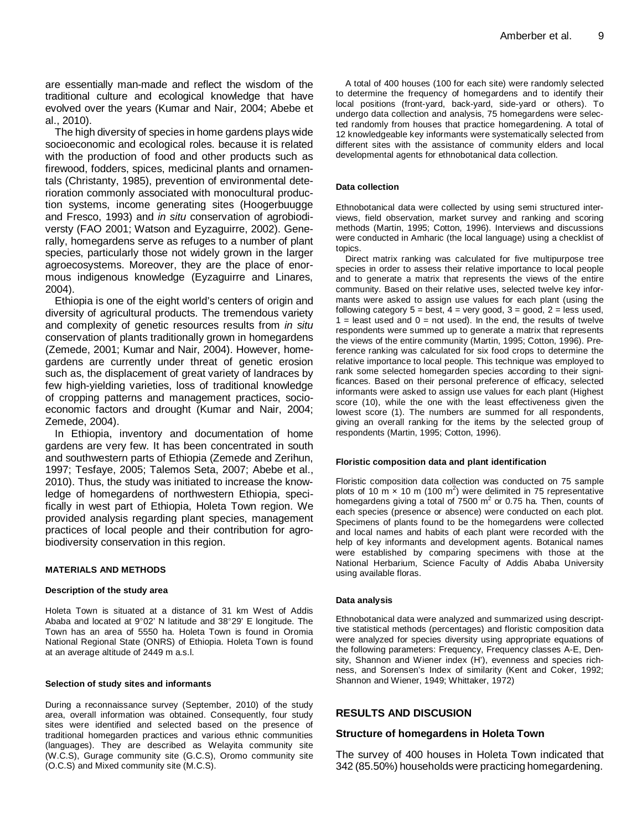are essentially man-made and reflect the wisdom of the traditional culture and ecological knowledge that have evolved over the years (Kumar and Nair, 2004; Abebe et al., 2010).

The high diversity of species in home gardens plays wide socioeconomic and ecological roles. because it is related with the production of food and other products such as firewood, fodders, spices, medicinal plants and ornamentals (Christanty, 1985), prevention of environmental deterioration commonly associated with monocultural production systems, income generating sites (Hoogerbuugge and Fresco, 1993) and *in situ* conservation of agrobiodiversty (FAO 2001; Watson and Eyzaguirre, 2002). Generally, homegardens serve as refuges to a number of plant species, particularly those not widely grown in the larger agroecosystems. Moreover, they are the place of enormous indigenous knowledge (Eyzaguirre and Linares, 2004).

Ethiopia is one of the eight world's centers of origin and diversity of agricultural products. The tremendous variety and complexity of genetic resources results from *in situ* conservation of plants traditionally grown in homegardens (Zemede, 2001; Kumar and Nair, 2004). However, homegardens are currently under threat of genetic erosion such as, the displacement of great variety of landraces by few high-yielding varieties, loss of traditional knowledge of cropping patterns and management practices, socioeconomic factors and drought (Kumar and Nair, 2004; Zemede, 2004).

In Ethiopia, inventory and documentation of home gardens are very few. It has been concentrated in south and southwestern parts of Ethiopia (Zemede and Zerihun, 1997; Tesfaye, 2005; Talemos Seta, 2007; Abebe et al., 2010). Thus, the study was initiated to increase the knowledge of homegardens of northwestern Ethiopia, specifically in west part of Ethiopia, Holeta Town region. We provided analysis regarding plant species, management practices of local people and their contribution for agrobiodiversity conservation in this region.

#### **MATERIALS AND METHODS**

#### **Description of the study area**

Holeta Town is situated at a distance of 31 km West of Addis Ababa and located at 9°02' N latitude and 38°29' E longitude. The Town has an area of 5550 ha. Holeta Town is found in Oromia National Regional State (ONRS) of Ethiopia. Holeta Town is found at an average altitude of 2449 m a.s.l.

#### **Selection of study sites and informants**

During a reconnaissance survey (September, 2010) of the study area, overall information was obtained. Consequently, four study sites were identified and selected based on the presence of traditional homegarden practices and various ethnic communities (languages). They are described as Welayita community site (W.C.S), Gurage community site (G.C.S), Oromo community site (O.C.S) and Mixed community site (M.C.S).

A total of 400 houses (100 for each site) were randomly selected to determine the frequency of homegardens and to identify their local positions (front-yard, back-yard, side-yard or others). To undergo data collection and analysis, 75 homegardens were selected randomly from houses that practice homegardening. A total of 12 knowledgeable key informants were systematically selected from different sites with the assistance of community elders and local developmental agents for ethnobotanical data collection.

#### **Data collection**

Ethnobotanical data were collected by using semi structured interviews, field observation, market survey and ranking and scoring methods (Martin, 1995; Cotton, 1996). Interviews and discussions were conducted in Amharic (the local language) using a checklist of topics.

Direct matrix ranking was calculated for five multipurpose tree species in order to assess their relative importance to local people and to generate a matrix that represents the views of the entire community. Based on their relative uses, selected twelve key informants were asked to assign use values for each plant (using the following category  $5 = \text{best}$ ,  $4 = \text{very good}$ ,  $3 = \text{good}$ ,  $2 = \text{less used}$ ,  $1 =$  least used and  $0 =$  not used). In the end, the results of twelve respondents were summed up to generate a matrix that represents the views of the entire community (Martin, 1995; Cotton, 1996). Preference ranking was calculated for six food crops to determine the relative importance to local people. This technique was employed to rank some selected homegarden species according to their significances. Based on their personal preference of efficacy, selected informants were asked to assign use values for each plant (Highest score (10), while the one with the least effectiveness given the lowest score (1). The numbers are summed for all respondents, giving an overall ranking for the items by the selected group of respondents (Martin, 1995; Cotton, 1996).

#### **Floristic composition data and plant identification**

Floristic composition data collection was conducted on 75 sample plots of 10 m  $\times$  10 m (100 m<sup>2</sup>) were delimited in 75 representative homegardens giving a total of  $7500 \text{ m}^2$  or 0.75 ha. Then, counts of each species (presence or absence) were conducted on each plot. Specimens of plants found to be the homegardens were collected and local names and habits of each plant were recorded with the help of key informants and development agents. Botanical names were established by comparing specimens with those at the National Herbarium, Science Faculty of Addis Ababa University using available floras.

#### **Data analysis**

Ethnobotanical data were analyzed and summarized using descripttive statistical methods (percentages) and floristic composition data were analyzed for species diversity using appropriate equations of the following parameters: Frequency, Frequency classes A-E, Density, Shannon and Wiener index (H'), evenness and species richness, and Sorensen's Index of similarity (Kent and Coker, 1992; Shannon and Wiener, 1949; Whittaker, 1972)

#### **RESULTS AND DISCUSION**

#### **Structure of homegardens in Holeta Town**

The survey of 400 houses in Holeta Town indicated that 342 (85.50%) households were practicing homegardening.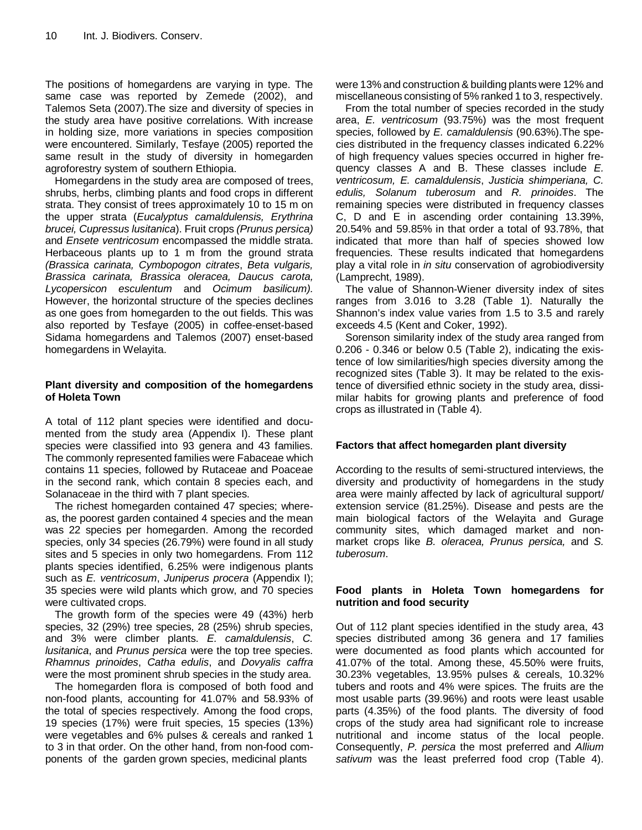The positions of homegardens are varying in type. The same case was reported by Zemede (2002), and Talemos Seta (2007).The size and diversity of species in the study area have positive correlations. With increase in holding size, more variations in species composition were encountered. Similarly, Tesfaye (2005) reported the same result in the study of diversity in homegarden agroforestry system of southern Ethiopia.

Homegardens in the study area are composed of trees, shrubs, herbs, climbing plants and food crops in different strata. They consist of trees approximately 10 to 15 m on the upper strata (*Eucalyptus camaldulensis, Erythrina brucei, Cupressus lusitanica*). Fruit crops *(Prunus persica)*  and *Ensete ventricosum* encompassed the middle strata. Herbaceous plants up to 1 m from the ground strata *(Brassica carinata, Cymbopogon citrates*, *Beta vulgaris, Brassica carinata, Brassica oleracea, Daucus carota, Lycopersicon esculentum* and *Ocimum basilicum).* However, the horizontal structure of the species declines as one goes from homegarden to the out fields. This was also reported by Tesfaye (2005) in coffee-enset-based Sidama homegardens and Talemos (2007) enset-based homegardens in Welayita.

## **Plant diversity and composition of the homegardens of Holeta Town**

A total of 112 plant species were identified and documented from the study area (Appendix I). These plant species were classified into 93 genera and 43 families. The commonly represented families were Fabaceae which contains 11 species, followed by Rutaceae and Poaceae in the second rank, which contain 8 species each, and Solanaceae in the third with 7 plant species.

The richest homegarden contained 47 species; whereas, the poorest garden contained 4 species and the mean was 22 species per homegarden. Among the recorded species, only 34 species (26.79%) were found in all study sites and 5 species in only two homegardens. From 112 plants species identified, 6.25% were indigenous plants such as *E. ventricosum*, *Juniperus procera* (Appendix I); 35 species were wild plants which grow, and 70 species were cultivated crops.

The growth form of the species were 49 (43%) herb species, 32 (29%) tree species, 28 (25%) shrub species, and 3% were climber plants. *E. camaldulensis*, *C. lusitanica*, and *Prunus persica* were the top tree species. *Rhamnus prinoides*, *Catha edulis*, and *Dovyalis caffra* were the most prominent shrub species in the study area.

The homegarden flora is composed of both food and non-food plants, accounting for 41.07% and 58.93% of the total of species respectively. Among the food crops, 19 species (17%) were fruit species, 15 species (13%) were vegetables and 6% pulses & cereals and ranked 1 to 3 in that order. On the other hand, from non-food components of the garden grown species, medicinal plants

were 13% and construction & building plants were 12% and miscellaneous consisting of 5% ranked 1 to 3, respectively.

From the total number of species recorded in the study area, *E. ventricosum* (93.75%) was the most frequent species, followed by *E. camaldulensis* (90.63%).The species distributed in the frequency classes indicated 6.22% of high frequency values species occurred in higher frequency classes A and B. These classes include *E. ventricosum, E. camaldulensis*, *Justicia shimperiana, C. edulis, Solanum tuberosum* and *R. prinoides*. The remaining species were distributed in frequency classes C, D and E in ascending order containing 13.39%, 20.54% and 59.85% in that order a total of 93.78%, that indicated that more than half of species showed low frequencies. These results indicated that homegardens play a vital role in *in situ* conservation of agrobiodiversity (Lamprecht, 1989).

The value of Shannon-Wiener diversity index of sites ranges from 3.016 to 3.28 (Table 1). Naturally the Shannon's index value varies from 1.5 to 3.5 and rarely exceeds 4.5 (Kent and Coker, 1992).

Sorenson similarity index of the study area ranged from 0.206 - 0.346 or below 0.5 (Table 2), indicating the existence of low similarities/high species diversity among the recognized sites (Table 3). It may be related to the existence of diversified ethnic society in the study area, dissimilar habits for growing plants and preference of food crops as illustrated in (Table 4).

## **Factors that affect homegarden plant diversity**

According to the results of semi-structured interviews, the diversity and productivity of homegardens in the study area were mainly affected by lack of agricultural support/ extension service (81.25%). Disease and pests are the main biological factors of the Welayita and Gurage community sites, which damaged market and nonmarket crops like *B. oleracea, Prunus persica,* and *S. tuberosum*.

## **Food plants in Holeta Town homegardens for nutrition and food security**

Out of 112 plant species identified in the study area, 43 species distributed among 36 genera and 17 families were documented as food plants which accounted for 41.07% of the total. Among these, 45.50% were fruits, 30.23% vegetables, 13.95% pulses & cereals, 10.32% tubers and roots and 4% were spices. The fruits are the most usable parts (39.96%) and roots were least usable parts (4.35%) of the food plants. The diversity of food crops of the study area had significant role to increase nutritional and income status of the local people. Consequently, *P. persica* the most preferred and *Allium sativum* was the least preferred food crop (Table 4).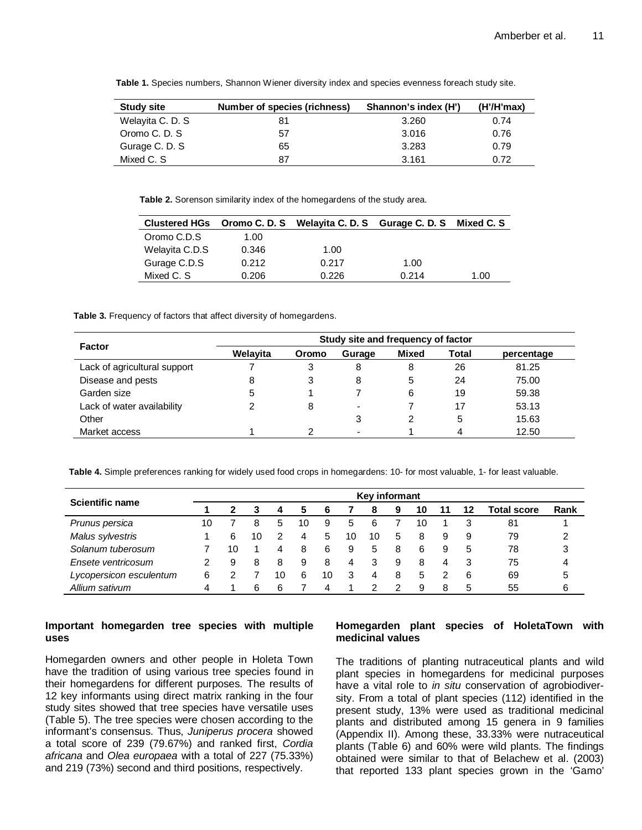| <b>Study site</b> | Number of species (richness) | Shannon's index (H') | (H'/H'max) |
|-------------------|------------------------------|----------------------|------------|
| Welayita C. D. S. | 81                           | 3.260                | 0.74       |
| Oromo C. D. S.    | 57                           | 3.016                | 0.76       |
| Gurage C. D. S    | 65                           | 3.283                | 0.79       |
| Mixed C. S        | 87                           | 3.161                | 0.72       |

**Table 1.** Species numbers, Shannon Wiener diversity index and species evenness foreach study site.

**Table 2.** Sorenson similarity index of the homegardens of the study area.

|                |       | Clustered HGs Oromo C. D. S Welayita C. D. S Gurage C. D. S Mixed C. S |       |      |
|----------------|-------|------------------------------------------------------------------------|-------|------|
| Oromo C.D.S    | 1.00  |                                                                        |       |      |
| Welayita C.D.S | 0.346 | 1.00                                                                   |       |      |
| Gurage C.D.S   | 0.212 | 0.217                                                                  | 1.00  |      |
| Mixed C. S.    | 0.206 | 0.226                                                                  | 0.214 | 1.00 |

**Table 3.** Frequency of factors that affect diversity of homegardens.

|                              | Study site and frequency of factor |       |                          |       |              |            |  |  |
|------------------------------|------------------------------------|-------|--------------------------|-------|--------------|------------|--|--|
| <b>Factor</b>                | Welayita                           | Oromo | Gurage                   | Mixed | <b>Total</b> | percentage |  |  |
| Lack of agricultural support |                                    |       | 8                        | 8     | 26           | 81.25      |  |  |
| Disease and pests            | 8                                  | 3     | 8                        | 5     | 24           | 75.00      |  |  |
| Garden size                  | 5                                  |       |                          | 6     | 19           | 59.38      |  |  |
| Lack of water availability   | っ                                  | 8     | $\overline{\phantom{0}}$ |       | 17           | 53.13      |  |  |
| Other                        |                                    |       | 3                        |       | 5            | 15.63      |  |  |
| Market access                |                                    | റ     |                          |       |              | 12.50      |  |  |

**Table 4.** Simple preferences ranking for widely used food crops in homegardens: 10- for most valuable, 1- for least valuable.

|                         |    |    |    |    |    |    |    | Key informant |   |    |    |    |                    |      |
|-------------------------|----|----|----|----|----|----|----|---------------|---|----|----|----|--------------------|------|
| Scientific name         |    |    |    | 4  | 5  | 6  |    | -8            | 9 | 10 | 11 | 12 | <b>Total score</b> | Rank |
| Prunus persica          | 10 |    | 8  | 5  | 10 | 9  | 5  | 6             |   | 10 |    |    | 81                 |      |
| Malus sylvestris        |    | 6  | 10 |    | 4  | 5  | 10 | 10            | 5 | 8  | 9  | -9 | 79                 | 2    |
| Solanum tuberosum       |    | 10 |    | 4  | 8  | 6  | 9  | 5             | 8 | 6  | 9  | -5 | 78                 | 3    |
| Ensete ventricosum      | 2  | 9  | 8  | 8  | 9  | 8  | 4  | 3             | 9 | 8  | 4  | -3 | 75                 | 4    |
| Lycopersicon esculentum | 6  |    |    | 10 | 6  | 10 | 3  | 4             | 8 | 5  |    | -6 | 69                 | 5    |
| Allium sativum          | 4  |    | 6  | 6  |    | Δ  |    |               |   | 9  | 8  | 5  | 55                 | 6    |

## **Important homegarden tree species with multiple uses**

Homegarden owners and other people in Holeta Town have the tradition of using various tree species found in their homegardens for different purposes. The results of 12 key informants using direct matrix ranking in the four study sites showed that tree species have versatile uses (Table 5). The tree species were chosen according to the informant's consensus. Thus, *Juniperus procera* showed a total score of 239 (79.67%) and ranked first, *Cordia africana* and *Olea europaea* with a total of 227 (75.33%) and 219 (73%) second and third positions, respectively.

## **Homegarden plant species of HoletaTown with medicinal values**

The traditions of planting nutraceutical plants and wild plant species in homegardens for medicinal purposes have a vital role to *in situ* conservation of agrobiodiversity. From a total of plant species (112) identified in the present study, 13% were used as traditional medicinal plants and distributed among 15 genera in 9 families (Appendix II). Among these, 33.33% were nutraceutical plants (Table 6) and 60% were wild plants. The findings obtained were similar to that of Belachew et al. (2003) that reported 133 plant species grown in the 'Gamo'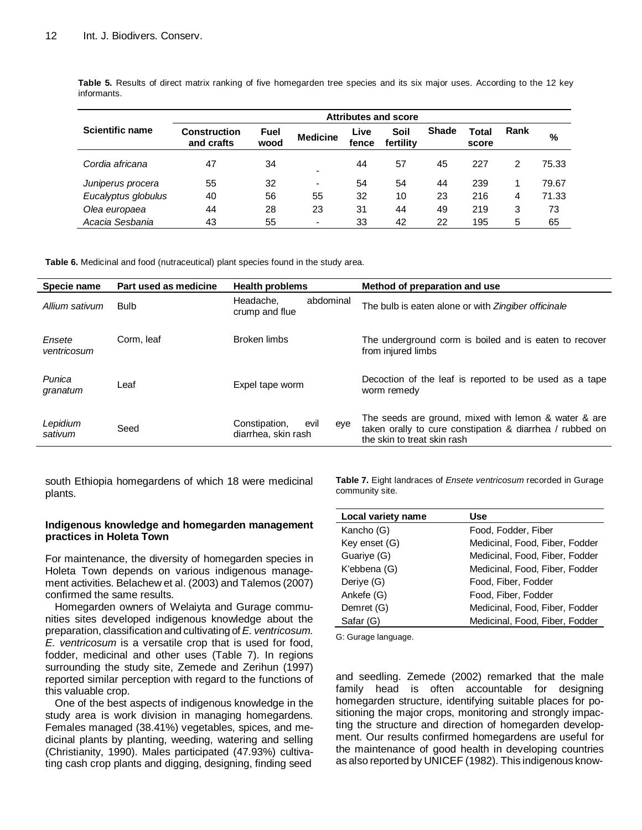|                        | <b>Attributes and score</b> |              |                          |               |                   |              |                |      |       |
|------------------------|-----------------------------|--------------|--------------------------|---------------|-------------------|--------------|----------------|------|-------|
| <b>Scientific name</b> | Construction<br>and crafts  | Fuel<br>wood | <b>Medicine</b>          | Live<br>fence | Soil<br>fertility | <b>Shade</b> | Total<br>score | Rank | %     |
| Cordia africana        | 47                          | 34           | ٠                        | 44            | 57                | 45           | 227            | 2    | 75.33 |
| Juniperus procera      | 55                          | 32           | $\overline{\phantom{a}}$ | 54            | 54                | 44           | 239            |      | 79.67 |
| Eucalyptus globulus    | 40                          | 56           | 55                       | 32            | 10                | 23           | 216            | 4    | 71.33 |
| Olea europaea          | 44                          | 28           | 23                       | 31            | 44                | 49           | 219            | 3    | 73    |
| Acacia Sesbania        | 43                          | 55           | ٠                        | 33            | 42                | 22           | 195            | 5    | 65    |

**Table 5.** Results of direct matrix ranking of five homegarden tree species and its six major uses. According to the 12 key informants.

**Table 6.** Medicinal and food (nutraceutical) plant species found in the study area.

| Specie name           | Part used as medicine | <b>Health problems</b>                              | Method of preparation and use                                                                                                                   |
|-----------------------|-----------------------|-----------------------------------------------------|-------------------------------------------------------------------------------------------------------------------------------------------------|
| Allium sativum        | <b>Bulb</b>           | abdominal<br>Headache.<br>crump and flue            | The bulb is eaten alone or with Zingiber officinale                                                                                             |
| Ensete<br>ventricosum | Corm. leaf            | Broken limbs                                        | The underground corm is boiled and is eaten to recover<br>from injured limbs                                                                    |
| Punica<br>granatum    | Leaf                  | Expel tape worm                                     | Decoction of the leaf is reported to be used as a tape<br>worm remedy                                                                           |
| Lepidium<br>sativum   | Seed                  | Constipation,<br>evil<br>eye<br>diarrhea, skin rash | The seeds are ground, mixed with lemon & water & are<br>taken orally to cure constipation & diarrhea / rubbed on<br>the skin to treat skin rash |

south Ethiopia homegardens of which 18 were medicinal plants.

## **Indigenous knowledge and homegarden management practices in Holeta Town**

For maintenance, the diversity of homegarden species in Holeta Town depends on various indigenous management activities. Belachew et al. (2003) and Talemos (2007) confirmed the same results.

Homegarden owners of Welaiyta and Gurage communities sites developed indigenous knowledge about the preparation, classification and cultivating of *E. ventricosum. E. ventricosum* is a versatile crop that is used for food, fodder, medicinal and other uses (Table 7). In regions surrounding the study site, Zemede and Zerihun (1997) reported similar perception with regard to the functions of this valuable crop.

One of the best aspects of indigenous knowledge in the study area is work division in managing homegardens. Females managed (38.41%) vegetables, spices, and medicinal plants by planting, weeding, watering and selling (Christianity, 1990). Males participated (47.93%) cultivating cash crop plants and digging, designing, finding seed

**Table 7.** Eight landraces of *Ensete ventricosum* recorded in Gurage community site.

| Local variety name | <b>Use</b>                     |
|--------------------|--------------------------------|
| Kancho (G)         | Food, Fodder, Fiber            |
| Key enset (G)      | Medicinal, Food, Fiber, Fodder |
| Guariye (G)        | Medicinal, Food, Fiber, Fodder |
| K'ebbena (G)       | Medicinal, Food, Fiber, Fodder |
| Deriye (G)         | Food, Fiber, Fodder            |
| Ankefe (G)         | Food, Fiber, Fodder            |
| Demret (G)         | Medicinal, Food, Fiber, Fodder |
| Safar (G)          | Medicinal, Food, Fiber, Fodder |

G: Gurage language.

and seedling. Zemede (2002) remarked that the male family head is often accountable for designing homegarden structure, identifying suitable places for positioning the major crops, monitoring and strongly impacting the structure and direction of homegarden development. Our results confirmed homegardens are useful for the maintenance of good health in developing countries as also reported by UNICEF (1982). This indigenous know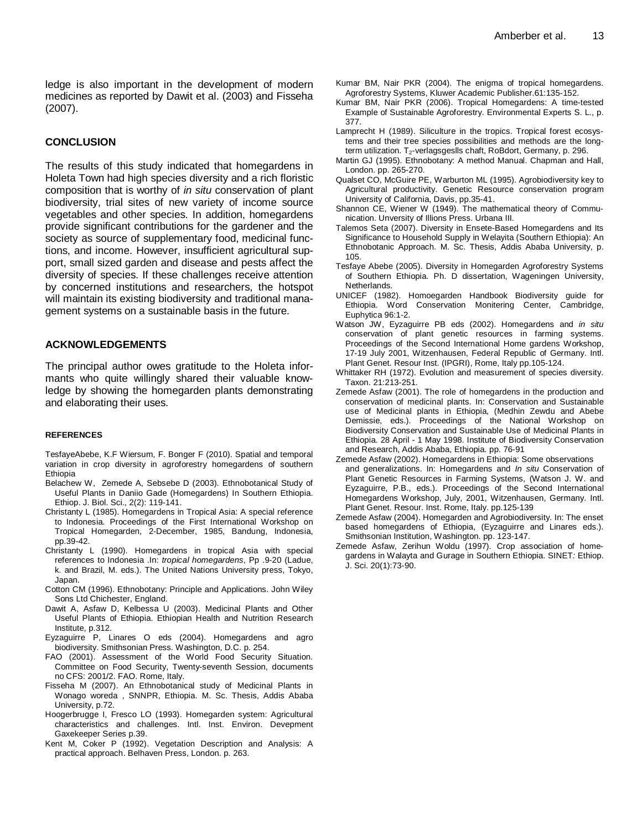ledge is also important in the development of modern medicines as reported by Dawit et al. (2003) and Fisseha (2007).

### **CONCLUSION**

The results of this study indicated that homegardens in Holeta Town had high species diversity and a rich floristic composition that is worthy of *in situ* conservation of plant biodiversity, trial sites of new variety of income source vegetables and other species. In addition, homegardens provide significant contributions for the gardener and the society as source of supplementary food, medicinal functions, and income. However, insufficient agricultural support, small sized garden and disease and pests affect the diversity of species. If these challenges receive attention by concerned institutions and researchers, the hotspot will maintain its existing biodiversity and traditional management systems on a sustainable basis in the future.

## **ACKNOWLEDGEMENTS**

The principal author owes gratitude to the Holeta informants who quite willingly shared their valuable knowledge by showing the homegarden plants demonstrating and elaborating their uses.

#### **REFERENCES**

TesfayeAbebe, K.F Wiersum, F. Bonger F (2010). Spatial and temporal variation in crop diversity in agroforestry homegardens of southern Ethiopia

- Belachew W, Zemede A, Sebsebe D (2003). Ethnobotanical Study of Useful Plants in Daniio Gade (Homegardens) In Southern Ethiopia. Ethiop. J. Biol. Sci., 2(2): 119-141.
- Christanty L (1985). Homegardens in Tropical Asia: A special reference to Indonesia. Proceedings of the First International Workshop on Tropical Homegarden, 2-December, 1985, Bandung, Indonesia, pp.39-42.
- Christanty L (1990). Homegardens in tropical Asia with special references to Indonesia .In: *tropical homegardens*, Pp .9-20 (Ladue, k. and Brazil, M. eds.). The United Nations University press, Tokyo, Japan.
- Cotton CM (1996). Ethnobotany: Principle and Applications. John Wiley Sons Ltd Chichester, England.
- Dawit A, Asfaw D, Kelbessa U (2003). Medicinal Plants and Other Useful Plants of Ethiopia. Ethiopian Health and Nutrition Research Institute, p.312.
- Eyzaguirre P, Linares O eds (2004). Homegardens and agro biodiversity. Smithsonian Press. Washington, D.C. p. 254.
- FAO (2001). Assessment of the World Food Security Situation. Committee on Food Security, Twenty-seventh Session, documents no CFS: 2001/2. FAO. Rome, Italy.
- Fisseha M (2007). An Ethnobotanical study of Medicinal Plants in Wonago woreda , SNNPR, Ethiopia. M. Sc. Thesis, Addis Ababa University, p.72.
- Hoogerbrugge I, Fresco LO (1993). Homegarden system: Agricultural characteristics and challenges. Intl. Inst. Environ. Devepment Gaxekeeper Series p.39.
- Kent M, Coker P (1992). Vegetation Description and Analysis: A practical approach. Belhaven Press, London. p. 263.
- Kumar BM, Nair PKR (2004). The enigma of tropical homegardens. Agroforestry Systems, Kluwer Academic Publisher.61:135-152.
- Kumar BM, Nair PKR (2006). Tropical Homegardens: A time-tested Example of Sustainable Agroforestry. Environmental Experts S. L., p. 377.
- Lamprecht H (1989). Siliculture in the tropics. Tropical forest ecosystems and their tree species possibilities and methods are the longterm utilization.  $T_2$ -verlagsgeslls chaft, RoBdort, Germany, p. 296.
- Martin GJ (1995). Ethnobotany: A method Manual. Chapman and Hall, London. pp. 265-270.
- Qualset CO, McGuire PE, Warburton ML (1995). Agrobiodiversity key to Agricultural productivity. Genetic Resource conservation program University of California, Davis, pp.35-41.
- Shannon CE, Wiener W (1949). The mathematical theory of Communication. Unversity of Illions Press. Urbana III.
- Talemos Seta (2007). Diversity in Ensete-Based Homegardens and Its Significance to Household Supply in Welayita (Southern Ethiopia): An Ethnobotanic Approach. M. Sc. Thesis, Addis Ababa University, p. 105.
- Tesfaye Abebe (2005). Diversity in Homegarden Agroforestry Systems of Southern Ethiopia. Ph. D dissertation, Wageningen University, **Netherlands**
- UNICEF (1982). Homoegarden Handbook Biodiversity guide for Ethiopia. Word Conservation Monitering Center, Cambridge, Euphytica 96:1-2.
- Watson JW, Eyzaguirre PB eds (2002). Homegardens and *in situ* conservation of plant genetic resources in farming systems. Proceedings of the Second International Home gardens Workshop, 17-19 July 2001, Witzenhausen, Federal Republic of Germany. Intl. Plant Genet. Resour Inst. (IPGRI), Rome, Italy pp.105-124.
- Whittaker RH (1972). Evolution and measurement of species diversity. Taxon. 21:213-251.
- Zemede Asfaw (2001). The role of homegardens in the production and conservation of medicinal plants. In: Conservation and Sustainable use of Medicinal plants in Ethiopia, (Medhin Zewdu and Abebe Demissie, eds.). Proceedings of the National Workshop on Biodiversity Conservation and Sustainable Use of Medicinal Plants in Ethiopia. 28 April - 1 May 1998. Institute of Biodiversity Conservation and Research, Addis Ababa, Ethiopia. pp. 76-91
- Zemede Asfaw (2002). Homegardens in Ethiopia: Some observations and generalizations. In: Homegardens and *In situ* Conservation of Plant Genetic Resources in Farming Systems, (Watson J. W. and Eyzaguirre, P.B., eds.). Proceedings of the Second International Homegardens Workshop, July, 2001, Witzenhausen, Germany. Intl. Plant Genet. Resour. Inst. Rome, Italy. pp.125-139
- Zemede Asfaw (2004). Homegarden and Agrobiodiversity. In: The enset based homegardens of Ethiopia, (Eyzaguirre and Linares eds.). Smithsonian Institution, Washington. pp. 123-147.
- Zemede Asfaw, Zerihun Woldu (1997). Crop association of homegardens in Walayta and Gurage in Southern Ethiopia. SINET*:* Ethiop. J. Sci. 20(1):73-90.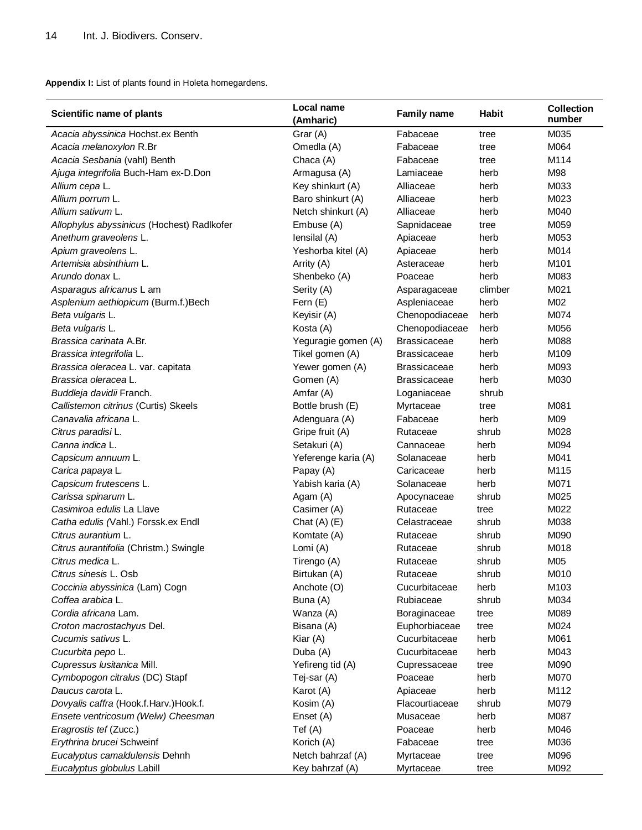**Appendix I:** List of plants found in Holeta homegardens.

| Scientific name of plants                  | Local name<br>(Amharic) | <b>Family name</b>  | <b>Habit</b> | <b>Collection</b><br>number |
|--------------------------------------------|-------------------------|---------------------|--------------|-----------------------------|
| Acacia abyssinica Hochst.ex Benth          | Grar (A)                | Fabaceae            | tree         | M035                        |
| Acacia melanoxylon R.Br                    | Omedla (A)              | Fabaceae            | tree         | M064                        |
| Acacia Sesbania (vahl) Benth               | Chaca (A)               | Fabaceae            | tree         | M114                        |
| Ajuga integrifolia Buch-Ham ex-D.Don       | Armagusa (A)            | Lamiaceae           | herb         | M98                         |
| Allium cepa L.                             | Key shinkurt (A)        | Alliaceae           | herb         | M033                        |
| Allium porrum L.                           | Baro shinkurt (A)       | Alliaceae           | herb         | M023                        |
| Allium sativum L.                          | Netch shinkurt (A)      | Alliaceae           | herb         | M040                        |
| Allophylus abyssinicus (Hochest) Radlkofer | Embuse (A)              | Sapnidaceae         | tree         | M059                        |
| Anethum graveolens L.                      | lensilal (A)            | Apiaceae            | herb         | M053                        |
| Apium graveolens L.                        | Yeshorba kitel (A)      | Apiaceae            | herb         | M014                        |
| Artemisia absinthium L.                    | Arrity (A)              | Asteraceae          | herb         | M101                        |
| Arundo donax L.                            | Shenbeko (A)            | Poaceae             | herb         | M083                        |
| Asparagus africanus L am                   | Serity (A)              | Asparagaceae        | climber      | M021                        |
| Asplenium aethiopicum (Burm.f.)Bech        | Fern (E)                | Aspleniaceae        | herb         | M02                         |
| Beta vulgaris L.                           | Keyisir (A)             | Chenopodiaceae      | herb         | M074                        |
| Beta vulgaris L.                           | Kosta (A)               | Chenopodiaceae      | herb         | M056                        |
| Brassica carinata A.Br.                    | Yeguragie gomen (A)     | <b>Brassicaceae</b> | herb         | M088                        |
| Brassica integrifolia L.                   | Tikel gomen (A)         | <b>Brassicaceae</b> | herb         | M109                        |
| Brassica oleracea L. var. capitata         | Yewer gomen (A)         | <b>Brassicaceae</b> | herb         | M093                        |
| Brassica oleracea L.                       | Gomen (A)               | <b>Brassicaceae</b> | herb         | M030                        |
| Buddleja davidii Franch.                   | Amfar (A)               | Loganiaceae         | shrub        |                             |
| Callistemon citrinus (Curtis) Skeels       | Bottle brush (E)        | Myrtaceae           | tree         | M081                        |
| Canavalia africana L.                      | Adenguara (A)           | Fabaceae            | herb         | M09                         |
| Citrus paradisi L.                         | Gripe fruit (A)         | Rutaceae            | shrub        | M028                        |
| Canna indica L.                            | Setakuri (A)            | Cannaceae           | herb         | M094                        |
| Capsicum annuum L.                         | Yeferenge karia (A)     | Solanaceae          | herb         | M041                        |
| Carica papaya L.                           | Papay (A)               | Caricaceae          | herb         | M115                        |
| Capsicum frutescens L.                     | Yabish karia (A)        | Solanaceae          | herb         | M071                        |
| Carissa spinarum L.                        | Agam (A)                | Apocynaceae         | shrub        | M025                        |
| Casimiroa edulis La Llave                  | Casimer (A)             | Rutaceae            | tree         | M022                        |
| Catha edulis (Vahl.) Forssk.ex Endl        | Chat $(A)$ $(E)$        | Celastraceae        | shrub        | M038                        |
| Citrus aurantium L.                        | Komtate (A)             | Rutaceae            | shrub        | M090                        |
| Citrus aurantifolia (Christm.) Swingle     | Lomi (A)                | Rutaceae            | shrub        | M018                        |
| Citrus medica L.                           | Tirengo (A)             | Rutaceae            | shrub        | M05                         |
| Citrus sinesis L. Osb                      | Birtukan (A)            | Rutaceae            | shrub        | M010                        |
| Coccinia abyssinica (Lam) Cogn             | Anchote (O)             | Cucurbitaceae       | herb         | M103                        |
| Coffea arabica L.                          | Buna (A)                | Rubiaceae           | shrub        | M034                        |
| Cordia africana Lam.                       | Wanza (A)               | Boraginaceae        | tree         | M089                        |
| Croton macrostachyus Del.                  | Bisana (A)              | Euphorbiaceae       | tree         | M024                        |
| Cucumis sativus L.                         | Kiar (A)                | Cucurbitaceae       | herb         | M061                        |
| Cucurbita pepo L.                          | Duba (A)                | Cucurbitaceae       | herb         | M043                        |
| Cupressus Iusitanica Mill.                 | Yefireng tid (A)        | Cupressaceae        | tree         | M090                        |
| Cymbopogon citralus (DC) Stapf             | Tej-sar (A)             | Poaceae             | herb         | M070                        |
| Daucus carota L.                           | Karot (A)               | Apiaceae            | herb         | M112                        |
| Dovyalis caffra (Hook.f.Harv.)Hook.f.      | Kosim (A)               | Flacourtiaceae      | shrub        | M079                        |
| Ensete ventricosum (Welw) Cheesman         | Enset (A)               | Musaceae            | herb         | M087                        |
| Eragrostis tef (Zucc.)                     | Tef(A)                  | Poaceae             | herb         | M046                        |
| Erythrina brucei Schweinf                  | Korich (A)              | Fabaceae            | tree         | M036                        |
| Eucalyptus camaldulensis Dehnh             | Netch bahrzaf (A)       | Myrtaceae           | tree         | M096                        |
| Eucalyptus globulus Labill                 | Key bahrzaf (A)         | Myrtaceae           | tree         | M092                        |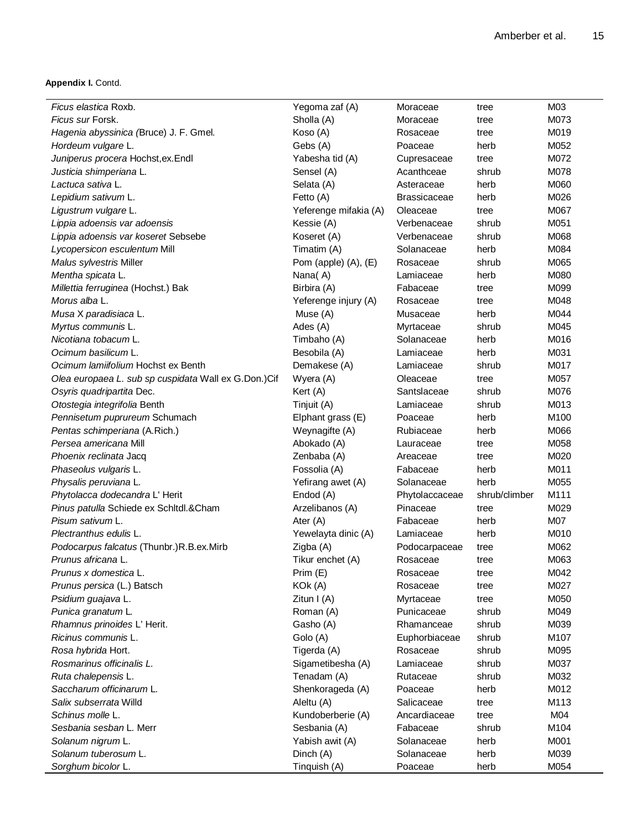**Appendix I.** Contd.

| Yegoma zaf (A)               | Moraceae                                                                                                                                                                                                                                                                                                                                                                                                                                                            | tree                                                                                                                                                                                                        | M03                                                                                                     |
|------------------------------|---------------------------------------------------------------------------------------------------------------------------------------------------------------------------------------------------------------------------------------------------------------------------------------------------------------------------------------------------------------------------------------------------------------------------------------------------------------------|-------------------------------------------------------------------------------------------------------------------------------------------------------------------------------------------------------------|---------------------------------------------------------------------------------------------------------|
| Sholla (A)                   | Moraceae                                                                                                                                                                                                                                                                                                                                                                                                                                                            | tree                                                                                                                                                                                                        | M073                                                                                                    |
| Koso (A)                     | Rosaceae                                                                                                                                                                                                                                                                                                                                                                                                                                                            | tree                                                                                                                                                                                                        | M019                                                                                                    |
| Gebs (A)                     | Poaceae                                                                                                                                                                                                                                                                                                                                                                                                                                                             | herb                                                                                                                                                                                                        | M052                                                                                                    |
| Yabesha tid (A)              | Cupresaceae                                                                                                                                                                                                                                                                                                                                                                                                                                                         | tree                                                                                                                                                                                                        | M072                                                                                                    |
| Sensel (A)                   | Acanthceae                                                                                                                                                                                                                                                                                                                                                                                                                                                          | shrub                                                                                                                                                                                                       | M078                                                                                                    |
| Selata (A)                   | Asteraceae                                                                                                                                                                                                                                                                                                                                                                                                                                                          | herb                                                                                                                                                                                                        | M060                                                                                                    |
| Fetto (A)                    | <b>Brassicaceae</b>                                                                                                                                                                                                                                                                                                                                                                                                                                                 | herb                                                                                                                                                                                                        | M026                                                                                                    |
| Yeferenge mifakia (A)        | Oleaceae                                                                                                                                                                                                                                                                                                                                                                                                                                                            | tree                                                                                                                                                                                                        | M067                                                                                                    |
| Kessie (A)                   | Verbenaceae                                                                                                                                                                                                                                                                                                                                                                                                                                                         | shrub                                                                                                                                                                                                       | M051                                                                                                    |
| Koseret (A)                  | Verbenaceae                                                                                                                                                                                                                                                                                                                                                                                                                                                         | shrub                                                                                                                                                                                                       | M068                                                                                                    |
| Timatim (A)                  | Solanaceae                                                                                                                                                                                                                                                                                                                                                                                                                                                          | herb                                                                                                                                                                                                        | M084                                                                                                    |
|                              | Rosaceae                                                                                                                                                                                                                                                                                                                                                                                                                                                            | shrub                                                                                                                                                                                                       | M065                                                                                                    |
| Nana(A)                      | Lamiaceae                                                                                                                                                                                                                                                                                                                                                                                                                                                           | herb                                                                                                                                                                                                        | M080                                                                                                    |
|                              |                                                                                                                                                                                                                                                                                                                                                                                                                                                                     | tree                                                                                                                                                                                                        | M099                                                                                                    |
| Yeferenge injury (A)         | Rosaceae                                                                                                                                                                                                                                                                                                                                                                                                                                                            | tree                                                                                                                                                                                                        | M048                                                                                                    |
|                              | Musaceae                                                                                                                                                                                                                                                                                                                                                                                                                                                            | herb                                                                                                                                                                                                        | M044                                                                                                    |
| Ades (A)                     |                                                                                                                                                                                                                                                                                                                                                                                                                                                                     | shrub                                                                                                                                                                                                       | M045                                                                                                    |
|                              | Solanaceae                                                                                                                                                                                                                                                                                                                                                                                                                                                          | herb                                                                                                                                                                                                        | M016                                                                                                    |
| Besobila (A)                 | Lamiaceae                                                                                                                                                                                                                                                                                                                                                                                                                                                           | herb                                                                                                                                                                                                        | M031                                                                                                    |
|                              | Lamiaceae                                                                                                                                                                                                                                                                                                                                                                                                                                                           | shrub                                                                                                                                                                                                       | M017                                                                                                    |
|                              | Oleaceae                                                                                                                                                                                                                                                                                                                                                                                                                                                            | tree                                                                                                                                                                                                        | M057                                                                                                    |
|                              |                                                                                                                                                                                                                                                                                                                                                                                                                                                                     |                                                                                                                                                                                                             | M076                                                                                                    |
|                              |                                                                                                                                                                                                                                                                                                                                                                                                                                                                     |                                                                                                                                                                                                             | M013                                                                                                    |
|                              |                                                                                                                                                                                                                                                                                                                                                                                                                                                                     |                                                                                                                                                                                                             | M100                                                                                                    |
|                              |                                                                                                                                                                                                                                                                                                                                                                                                                                                                     |                                                                                                                                                                                                             | M066                                                                                                    |
|                              |                                                                                                                                                                                                                                                                                                                                                                                                                                                                     |                                                                                                                                                                                                             | M058                                                                                                    |
|                              |                                                                                                                                                                                                                                                                                                                                                                                                                                                                     |                                                                                                                                                                                                             | M020                                                                                                    |
|                              |                                                                                                                                                                                                                                                                                                                                                                                                                                                                     |                                                                                                                                                                                                             | M011                                                                                                    |
|                              |                                                                                                                                                                                                                                                                                                                                                                                                                                                                     |                                                                                                                                                                                                             | M055                                                                                                    |
|                              |                                                                                                                                                                                                                                                                                                                                                                                                                                                                     |                                                                                                                                                                                                             | M111                                                                                                    |
|                              | Pinaceae                                                                                                                                                                                                                                                                                                                                                                                                                                                            |                                                                                                                                                                                                             | M029                                                                                                    |
|                              | Fabaceae                                                                                                                                                                                                                                                                                                                                                                                                                                                            |                                                                                                                                                                                                             | M07                                                                                                     |
|                              | Lamiaceae                                                                                                                                                                                                                                                                                                                                                                                                                                                           |                                                                                                                                                                                                             | M010                                                                                                    |
|                              |                                                                                                                                                                                                                                                                                                                                                                                                                                                                     | tree                                                                                                                                                                                                        | M062                                                                                                    |
|                              | Rosaceae                                                                                                                                                                                                                                                                                                                                                                                                                                                            | tree                                                                                                                                                                                                        | M063                                                                                                    |
|                              | Rosaceae                                                                                                                                                                                                                                                                                                                                                                                                                                                            | tree                                                                                                                                                                                                        | M042                                                                                                    |
|                              | Rosaceae                                                                                                                                                                                                                                                                                                                                                                                                                                                            | tree                                                                                                                                                                                                        | M027                                                                                                    |
|                              |                                                                                                                                                                                                                                                                                                                                                                                                                                                                     | tree                                                                                                                                                                                                        | M050                                                                                                    |
|                              | Punicaceae                                                                                                                                                                                                                                                                                                                                                                                                                                                          | shrub                                                                                                                                                                                                       | M049                                                                                                    |
| Gasho (A)                    | Rhamanceae                                                                                                                                                                                                                                                                                                                                                                                                                                                          | shrub                                                                                                                                                                                                       | M039                                                                                                    |
| Golo (A)                     |                                                                                                                                                                                                                                                                                                                                                                                                                                                                     | shrub                                                                                                                                                                                                       | M107                                                                                                    |
| Tigerda (A)                  | Rosaceae                                                                                                                                                                                                                                                                                                                                                                                                                                                            | shrub                                                                                                                                                                                                       | M095                                                                                                    |
|                              | Lamiaceae                                                                                                                                                                                                                                                                                                                                                                                                                                                           | shrub                                                                                                                                                                                                       | M037                                                                                                    |
|                              | Rutaceae                                                                                                                                                                                                                                                                                                                                                                                                                                                            | shrub                                                                                                                                                                                                       | M032                                                                                                    |
|                              | Poaceae                                                                                                                                                                                                                                                                                                                                                                                                                                                             | herb                                                                                                                                                                                                        | M012                                                                                                    |
|                              |                                                                                                                                                                                                                                                                                                                                                                                                                                                                     | tree                                                                                                                                                                                                        | M113                                                                                                    |
| Kundoberberie (A)            | Ancardiaceae                                                                                                                                                                                                                                                                                                                                                                                                                                                        | tree                                                                                                                                                                                                        | M04                                                                                                     |
|                              |                                                                                                                                                                                                                                                                                                                                                                                                                                                                     |                                                                                                                                                                                                             |                                                                                                         |
|                              |                                                                                                                                                                                                                                                                                                                                                                                                                                                                     |                                                                                                                                                                                                             |                                                                                                         |
| Sesbania (A)                 | Fabaceae<br>Solanaceae                                                                                                                                                                                                                                                                                                                                                                                                                                              | shrub<br>herb                                                                                                                                                                                               | M104                                                                                                    |
| Yabish awit (A)<br>Dinch (A) | Solanaceae                                                                                                                                                                                                                                                                                                                                                                                                                                                          | herb                                                                                                                                                                                                        | M001<br>M039                                                                                            |
|                              | Pom (apple) $(A)$ , $(E)$<br>Birbira (A)<br>Muse (A)<br>Timbaho (A)<br>Demakese (A)<br>Wyera (A)<br>Kert (A)<br>Tinjuit (A)<br>Elphant grass (E)<br>Weynagifte (A)<br>Abokado (A)<br>Zenbaba (A)<br>Fossolia (A)<br>Yefirang awet (A)<br>Endod (A)<br>Arzelibanos (A)<br>Ater (A)<br>Yewelayta dinic (A)<br>Zigba (A)<br>Tikur enchet (A)<br>Prim (E)<br>KOk (A)<br>Zitun $I(A)$<br>Roman (A)<br>Sigametibesha (A)<br>Tenadam (A)<br>Shenkorageda (A)<br>Aleltu (A) | Fabaceae<br>Myrtaceae<br>Santslaceae<br>Lamiaceae<br>Poaceae<br>Rubiaceae<br>Lauraceae<br>Areaceae<br>Fabaceae<br>Solanaceae<br>Phytolaccaceae<br>Podocarpaceae<br>Myrtaceae<br>Euphorbiaceae<br>Salicaceae | shrub<br>shrub<br>herb<br>herb<br>tree<br>tree<br>herb<br>herb<br>shrub/climber<br>tree<br>herb<br>herb |